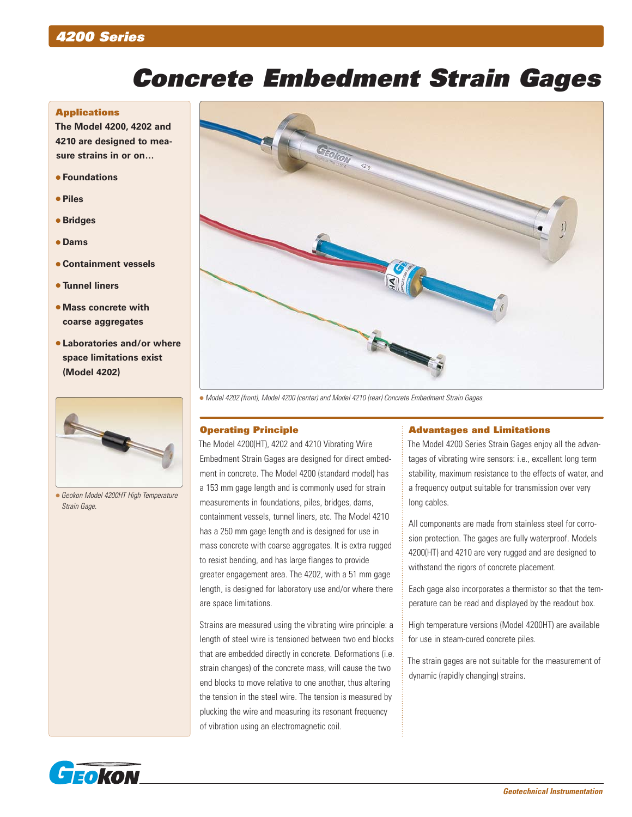## *4200 Series*

# *Concrete Embedment Strain Gages*

#### **Applications**

**The Model 4200, 4202 and 4210 are designed to measure strains in or on…**

- **Foundations**
- **Piles**
- **Bridges**
- **Dams**
- **Containment vessels**
- **Tunnel liners**
- **Mass concrete with coarse aggregates**
- **Laboratories and/or where space limitations exist (Model 4202)**



 *Geokon Model 4200HT High Temperature Strain Gage.*



*Model 4202 (front), Model 4200 (center) and Model 4210 (rear) Concrete Embedment Strain Gages.*

#### Operating Principle

The Model 4200(HT), 4202 and 4210 Vibrating Wire Embedment Strain Gages are designed for direct embedment in concrete. The Model 4200 (standard model) has a 153 mm gage length and is commonly used for strain measurements in foundations, piles, bridges, dams, containment vessels, tunnel liners, etc. The Model 4210 has a 250 mm gage length and is designed for use in mass concrete with coarse aggregates. It is extra rugged to resist bending, and has large flanges to provide greater engagement area. The 4202, with a 51 mm gage length, is designed for laboratory use and/or where there are space limitations.

Strains are measured using the vibrating wire principle: a length of steel wire is tensioned between two end blocks that are embedded directly in concrete. Deformations (i.e. strain changes) of the concrete mass, will cause the two end blocks to move relative to one another, thus altering the tension in the steel wire. The tension is measured by plucking the wire and measuring its resonant frequency of vibration using an electromagnetic coil.

#### Advantages and Limitations

The Model 4200 Series Strain Gages enjoy all the advantages of vibrating wire sensors: i.e., excellent long term stability, maximum resistance to the effects of water, and a frequency output suitable for transmission over very long cables.

All components are made from stainless steel for corrosion protection. The gages are fully waterproof. Models 4200(HT) and 4210 are very rugged and are designed to withstand the rigors of concrete placement.

Each gage also incorporates a thermistor so that the temperature can be read and displayed by the readout box.

High temperature versions (Model 4200HT) are available for use in steam-cured concrete piles.

The strain gages are not suitable for the measurement of dynamic (rapidly changing) strains.